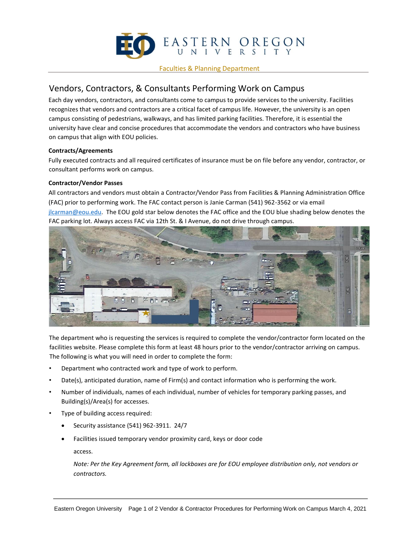

#### Faculties & Planning Department

# Vendors, Contractors, & Consultants Performing Work on Campus

Each day vendors, contractors, and consultants come to campus to provide services to the university. Facilities recognizes that vendors and contractors are a critical facet of campus life. However, the university is an open campus consisting of pedestrians, walkways, and has limited parking facilities. Therefore, it is essential the university have clear and concise procedures that accommodate the vendors and contractors who have business on campus that align with EOU policies.

## **Contracts/Agreements**

Fully executed contracts and all required certificates of insurance must be on file before any vendor, contractor, or consultant performs work on campus.

## **Contractor/Vendor Passes**

All contractors and vendors must obtain a Contractor/Vendor Pass from Facilities & Planning Administration Office (FAC) prior to performing work. The FAC contact person is Janie Carman (541) 962-3562 or via email jlcarman@eou.edu. The EOU gold star below denotes the FAC office and the EOU blue shading below denotes the FAC parking lot. Always access FAC via 12th St. & I Avenue, do not drive through campus.



The department who is requesting the services is required to complete the vendor/contractor form located on the facilities website. Please complete this form at least 48 hours prior to the vendor/contractor arriving on campus. The following is what you will need in order to complete the form:

- Department who contracted work and type of work to perform.
- Date(s), anticipated duration, name of Firm(s) and contact information who is performing the work.
- Number of individuals, names of each individual, number of vehicles for temporary parking passes, and Building(s)/Area(s) for accesses.
- Type of building access required:
	- Security assistance (541) 962-3911. 24/7
	- Facilities issued temporary vendor proximity card, keys or door code

access.

*Note: Per the Key Agreement form, all lockboxes are for EOU employee distribution only, not vendors or contractors.*